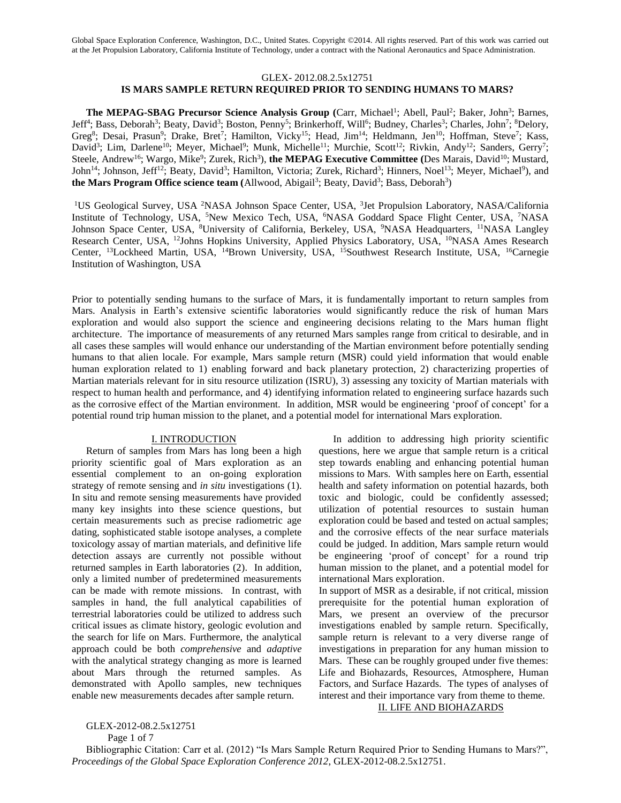#### GLEX- 2012.08.2.5x12751

# **IS MARS SAMPLE RETURN REQUIRED PRIOR TO SENDING HUMANS TO MARS?**

The MEPAG-SBAG Precursor Science Analysis Group (Carr, Michael<sup>1</sup>; Abell, Paul<sup>2</sup>; Baker, John<sup>3</sup>; Barnes, Jeff<sup>4</sup>; Bass, Deborah<sup>3</sup>; Beaty, David<sup>3</sup>; Boston, Penny<sup>5</sup>; Brinkerhoff, Will<sup>6</sup>; Budney, Charles<sup>3</sup>; Charles, John<sup>7</sup>; <sup>8</sup>Delory, Greg<sup>8</sup>; Desai, Prasun<sup>9</sup>; Drake, Bret<sup>7</sup>; Hamilton, Vicky<sup>15</sup>; Head, Jim<sup>14</sup>; Heldmann, Jen<sup>10</sup>; Hoffman, Steve<sup>7</sup>; Kass, David<sup>3</sup>; Lim, Darlene<sup>10</sup>; Meyer, Michael<sup>9</sup>; Munk, Michelle<sup>11</sup>; Murchie, Scott<sup>12</sup>; Rivkin, Andy<sup>12</sup>; Sanders, Gerry<sup>7</sup>; Steele, Andrew<sup>16</sup>; Wargo, Mike<sup>9</sup>; Zurek, Rich<sup>3</sup>), **the MEPAG Executive Committee** (Des Marais, David<sup>10</sup>; Mustard, John<sup>14</sup>; Johnson, Jeff<sup>12</sup>; Beaty, David<sup>3</sup>; Hamilton, Victoria; Zurek, Richard<sup>3</sup>; Hinners, Noel<sup>13</sup>; Meyer, Michael<sup>9</sup>), and the Mars Program Office science team (Allwood, Abigail<sup>3</sup>; Beaty, David<sup>3</sup>; Bass, Deborah<sup>3</sup>)

<sup>1</sup>US Geological Survey, USA <sup>2</sup>NASA Johnson Space Center, USA, <sup>3</sup>Jet Propulsion Laboratory, NASA/California Institute of Technology, USA, <sup>5</sup>New Mexico Tech, USA, <sup>6</sup>NASA Goddard Space Flight Center, USA, <sup>7</sup>NASA Johnson Space Center, USA, <sup>8</sup>University of California, Berkeley, USA, <sup>9</sup>NASA Headquarters, <sup>11</sup>NASA Langley Research Center, USA, <sup>12</sup>Johns Hopkins University, Applied Physics Laboratory, USA, <sup>10</sup>NASA Ames Research Center, <sup>13</sup>Lockheed Martin, USA, <sup>14</sup>Brown University, USA, <sup>15</sup>Southwest Research Institute, USA, <sup>16</sup>Carnegie Institution of Washington, USA

Prior to potentially sending humans to the surface of Mars, it is fundamentally important to return samples from Mars. Analysis in Earth's extensive scientific laboratories would significantly reduce the risk of human Mars exploration and would also support the science and engineering decisions relating to the Mars human flight architecture. The importance of measurements of any returned Mars samples range from critical to desirable, and in all cases these samples will would enhance our understanding of the Martian environment before potentially sending humans to that alien locale. For example, Mars sample return (MSR) could yield information that would enable human exploration related to 1) enabling forward and back planetary protection, 2) characterizing properties of Martian materials relevant for in situ resource utilization (ISRU), 3) assessing any toxicity of Martian materials with respect to human health and performance, and 4) identifying information related to engineering surface hazards such as the corrosive effect of the Martian environment. In addition, MSR would be engineering 'proof of concept' for a potential round trip human mission to the planet, and a potential model for international Mars exploration.

#### I. INTRODUCTION

Return of samples from Mars has long been a high priority scientific goal of Mars exploration as an essential complement to an on-going exploration strategy of remote sensing and *in situ* investigations (1). In situ and remote sensing measurements have provided many key insights into these science questions, but certain measurements such as precise radiometric age dating, sophisticated stable isotope analyses, a complete toxicology assay of martian materials, and definitive life detection assays are currently not possible without returned samples in Earth laboratories (2). In addition, only a limited number of predetermined measurements can be made with remote missions. In contrast, with samples in hand, the full analytical capabilities of terrestrial laboratories could be utilized to address such critical issues as climate history, geologic evolution and the search for life on Mars. Furthermore, the analytical approach could be both *comprehensive* and *adaptive* with the analytical strategy changing as more is learned about Mars through the returned samples. As demonstrated with Apollo samples, new techniques enable new measurements decades after sample return.

In addition to addressing high priority scientific questions, here we argue that sample return is a critical step towards enabling and enhancing potential human missions to Mars. With samples here on Earth, essential health and safety information on potential hazards, both toxic and biologic, could be confidently assessed; utilization of potential resources to sustain human exploration could be based and tested on actual samples; and the corrosive effects of the near surface materials could be judged. In addition, Mars sample return would be engineering 'proof of concept' for a round trip human mission to the planet, and a potential model for international Mars exploration.

In support of MSR as a desirable, if not critical, mission prerequisite for the potential human exploration of Mars, we present an overview of the precursor investigations enabled by sample return. Specifically, sample return is relevant to a very diverse range of investigations in preparation for any human mission to Mars. These can be roughly grouped under five themes: Life and Biohazards, Resources, Atmosphere, Human Factors, and Surface Hazards. The types of analyses of interest and their importance vary from theme to theme. II. LIFE AND BIOHAZARDS

GLEX-2012-08.2.5x12751

Page 1 of 7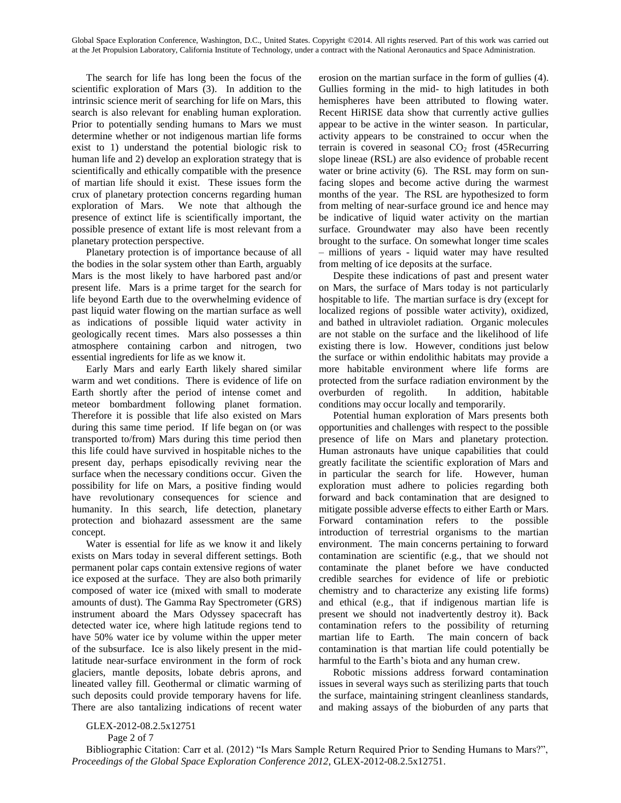The search for life has long been the focus of the scientific exploration of Mars (3). In addition to the intrinsic science merit of searching for life on Mars, this search is also relevant for enabling human exploration. Prior to potentially sending humans to Mars we must determine whether or not indigenous martian life forms exist to 1) understand the potential biologic risk to human life and 2) develop an exploration strategy that is scientifically and ethically compatible with the presence of martian life should it exist. These issues form the crux of planetary protection concerns regarding human exploration of Mars. We note that although the presence of extinct life is scientifically important, the possible presence of extant life is most relevant from a planetary protection perspective.

Planetary protection is of importance because of all the bodies in the solar system other than Earth, arguably Mars is the most likely to have harbored past and/or present life. Mars is a prime target for the search for life beyond Earth due to the overwhelming evidence of past liquid water flowing on the martian surface as well as indications of possible liquid water activity in geologically recent times. Mars also possesses a thin atmosphere containing carbon and nitrogen, two essential ingredients for life as we know it.

Early Mars and early Earth likely shared similar warm and wet conditions. There is evidence of life on Earth shortly after the period of intense comet and meteor bombardment following planet formation. Therefore it is possible that life also existed on Mars during this same time period. If life began on (or was transported to/from) Mars during this time period then this life could have survived in hospitable niches to the present day, perhaps episodically reviving near the surface when the necessary conditions occur. Given the possibility for life on Mars, a positive finding would have revolutionary consequences for science and humanity. In this search, life detection, planetary protection and biohazard assessment are the same concept.

Water is essential for life as we know it and likely exists on Mars today in several different settings. Both permanent polar caps contain extensive regions of water ice exposed at the surface. They are also both primarily composed of water ice (mixed with small to moderate amounts of dust). The Gamma Ray Spectrometer (GRS) instrument aboard the Mars Odyssey spacecraft has detected water ice, where high latitude regions tend to have 50% water ice by volume within the upper meter of the subsurface. Ice is also likely present in the midlatitude near-surface environment in the form of rock glaciers, mantle deposits, lobate debris aprons, and lineated valley fill. Geothermal or climatic warming of such deposits could provide temporary havens for life. There are also tantalizing indications of recent water

erosion on the martian surface in the form of gullies (4). Gullies forming in the mid- to high latitudes in both hemispheres have been attributed to flowing water. Recent HiRISE data show that currently active gullies appear to be active in the winter season. In particular, activity appears to be constrained to occur when the terrain is covered in seasonal  $CO<sub>2</sub>$  frost (45Recurring slope lineae (RSL) are also evidence of probable recent water or brine activity (6). The RSL may form on sunfacing slopes and become active during the warmest months of the year. The RSL are hypothesized to form from melting of near-surface ground ice and hence may be indicative of liquid water activity on the martian surface. Groundwater may also have been recently brought to the surface. On somewhat longer time scales – millions of years - liquid water may have resulted from melting of ice deposits at the surface.

Despite these indications of past and present water on Mars, the surface of Mars today is not particularly hospitable to life. The martian surface is dry (except for localized regions of possible water activity), oxidized, and bathed in ultraviolet radiation. Organic molecules are not stable on the surface and the likelihood of life existing there is low. However, conditions just below the surface or within endolithic habitats may provide a more habitable environment where life forms are protected from the surface radiation environment by the overburden of regolith. In addition, habitable conditions may occur locally and temporarily.

Potential human exploration of Mars presents both opportunities and challenges with respect to the possible presence of life on Mars and planetary protection. Human astronauts have unique capabilities that could greatly facilitate the scientific exploration of Mars and in particular the search for life. However, human exploration must adhere to policies regarding both forward and back contamination that are designed to mitigate possible adverse effects to either Earth or Mars. Forward contamination refers to the possible introduction of terrestrial organisms to the martian environment. The main concerns pertaining to forward contamination are scientific (e.g., that we should not contaminate the planet before we have conducted credible searches for evidence of life or prebiotic chemistry and to characterize any existing life forms) and ethical (e.g., that if indigenous martian life is present we should not inadvertently destroy it). Back contamination refers to the possibility of returning martian life to Earth. The main concern of back contamination is that martian life could potentially be harmful to the Earth's biota and any human crew.

Robotic missions address forward contamination issues in several ways such as sterilizing parts that touch the surface, maintaining stringent cleanliness standards, and making assays of the bioburden of any parts that

Page 2 of 7

GLEX-2012-08.2.5x12751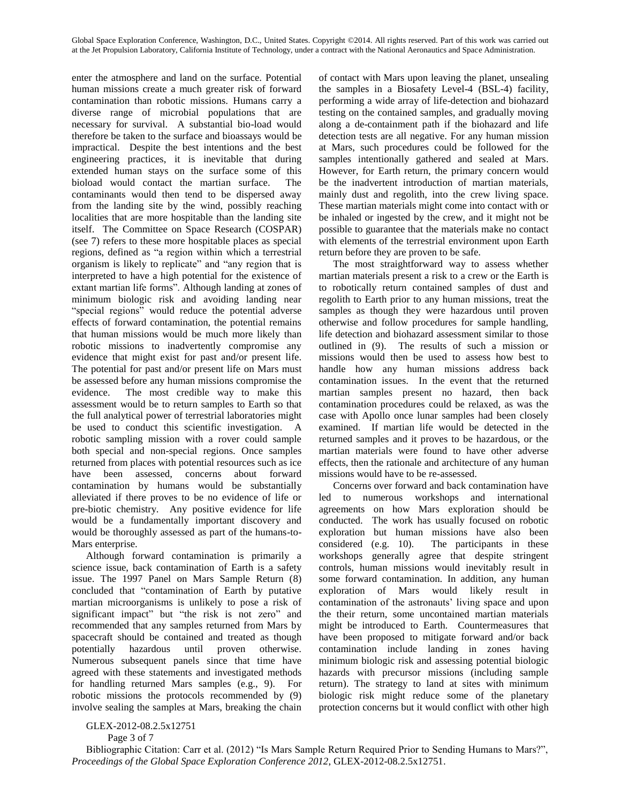enter the atmosphere and land on the surface. Potential human missions create a much greater risk of forward contamination than robotic missions. Humans carry a diverse range of microbial populations that are necessary for survival. A substantial bio-load would therefore be taken to the surface and bioassays would be impractical. Despite the best intentions and the best engineering practices, it is inevitable that during extended human stays on the surface some of this bioload would contact the martian surface. The contaminants would then tend to be dispersed away from the landing site by the wind, possibly reaching localities that are more hospitable than the landing site itself. The Committee on Space Research (COSPAR) (see 7) refers to these more hospitable places as special regions, defined as "a region within which a terrestrial organism is likely to replicate" and "any region that is interpreted to have a high potential for the existence of extant martian life forms". Although landing at zones of minimum biologic risk and avoiding landing near "special regions" would reduce the potential adverse effects of forward contamination, the potential remains that human missions would be much more likely than robotic missions to inadvertently compromise any evidence that might exist for past and/or present life. The potential for past and/or present life on Mars must be assessed before any human missions compromise the evidence. The most credible way to make this assessment would be to return samples to Earth so that the full analytical power of terrestrial laboratories might be used to conduct this scientific investigation. A robotic sampling mission with a rover could sample both special and non-special regions. Once samples returned from places with potential resources such as ice have been assessed, concerns about forward contamination by humans would be substantially alleviated if there proves to be no evidence of life or pre-biotic chemistry. Any positive evidence for life would be a fundamentally important discovery and would be thoroughly assessed as part of the humans-to-Mars enterprise.

Although forward contamination is primarily a science issue, back contamination of Earth is a safety issue. The 1997 Panel on Mars Sample Return (8) concluded that "contamination of Earth by putative martian microorganisms is unlikely to pose a risk of significant impact" but "the risk is not zero" and recommended that any samples returned from Mars by spacecraft should be contained and treated as though potentially hazardous until proven otherwise. Numerous subsequent panels since that time have agreed with these statements and investigated methods for handling returned Mars samples (e.g., 9). For robotic missions the protocols recommended by (9) involve sealing the samples at Mars, breaking the chain of contact with Mars upon leaving the planet, unsealing the samples in a Biosafety Level-4 (BSL-4) facility, performing a wide array of life-detection and biohazard testing on the contained samples, and gradually moving along a de-containment path if the biohazard and life detection tests are all negative. For any human mission at Mars, such procedures could be followed for the samples intentionally gathered and sealed at Mars. However, for Earth return, the primary concern would be the inadvertent introduction of martian materials, mainly dust and regolith, into the crew living space. These martian materials might come into contact with or be inhaled or ingested by the crew, and it might not be possible to guarantee that the materials make no contact with elements of the terrestrial environment upon Earth return before they are proven to be safe.

The most straightforward way to assess whether martian materials present a risk to a crew or the Earth is to robotically return contained samples of dust and regolith to Earth prior to any human missions, treat the samples as though they were hazardous until proven otherwise and follow procedures for sample handling, life detection and biohazard assessment similar to those outlined in (9). The results of such a mission or missions would then be used to assess how best to handle how any human missions address back contamination issues. In the event that the returned martian samples present no hazard, then back contamination procedures could be relaxed, as was the case with Apollo once lunar samples had been closely examined. If martian life would be detected in the returned samples and it proves to be hazardous, or the martian materials were found to have other adverse effects, then the rationale and architecture of any human missions would have to be re-assessed.

Concerns over forward and back contamination have led to numerous workshops and international agreements on how Mars exploration should be conducted. The work has usually focused on robotic exploration but human missions have also been considered (e.g. 10). The participants in these workshops generally agree that despite stringent controls, human missions would inevitably result in some forward contamination. In addition, any human exploration of Mars would likely result in contamination of the astronauts' living space and upon the their return, some uncontained martian materials might be introduced to Earth. Countermeasures that have been proposed to mitigate forward and/or back contamination include landing in zones having minimum biologic risk and assessing potential biologic hazards with precursor missions (including sample return). The strategy to land at sites with minimum biologic risk might reduce some of the planetary protection concerns but it would conflict with other high

Page 3 of 7

GLEX-2012-08.2.5x12751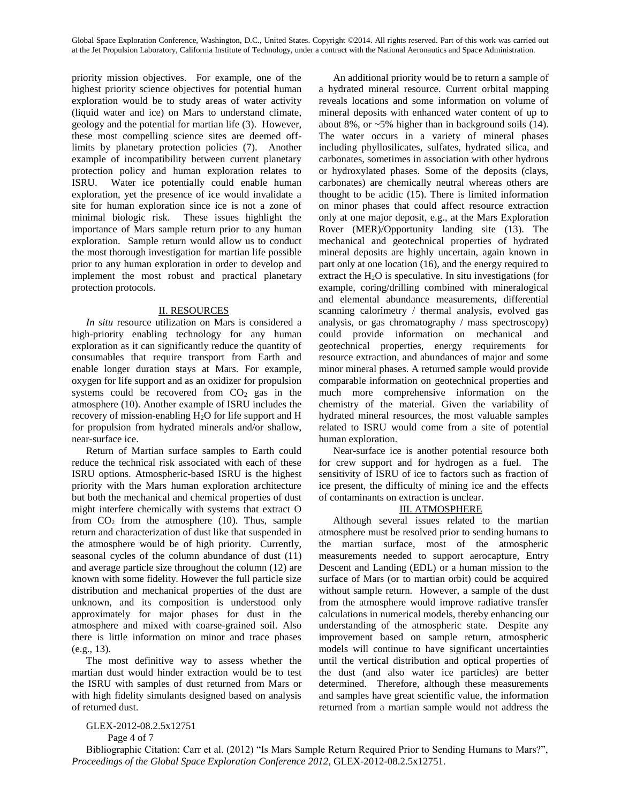priority mission objectives. For example, one of the highest priority science objectives for potential human exploration would be to study areas of water activity (liquid water and ice) on Mars to understand climate, geology and the potential for martian life (3). However, these most compelling science sites are deemed offlimits by planetary protection policies (7). Another example of incompatibility between current planetary protection policy and human exploration relates to ISRU. Water ice potentially could enable human exploration, yet the presence of ice would invalidate a site for human exploration since ice is not a zone of minimal biologic risk. These issues highlight the importance of Mars sample return prior to any human exploration. Sample return would allow us to conduct the most thorough investigation for martian life possible prior to any human exploration in order to develop and implement the most robust and practical planetary protection protocols.

### II. RESOURCES

*In situ* resource utilization on Mars is considered a high-priority enabling technology for any human exploration as it can significantly reduce the quantity of consumables that require transport from Earth and enable longer duration stays at Mars. For example, oxygen for life support and as an oxidizer for propulsion systems could be recovered from  $CO<sub>2</sub>$  gas in the atmosphere (10). Another example of ISRU includes the recovery of mission-enabling H<sub>2</sub>O for life support and H for propulsion from hydrated minerals and/or shallow, near-surface ice.

Return of Martian surface samples to Earth could reduce the technical risk associated with each of these ISRU options. Atmospheric-based ISRU is the highest priority with the Mars human exploration architecture but both the mechanical and chemical properties of dust might interfere chemically with systems that extract O from  $CO<sub>2</sub>$  from the atmosphere (10). Thus, sample return and characterization of dust like that suspended in the atmosphere would be of high priority. Currently, seasonal cycles of the column abundance of dust (11) and average particle size throughout the column (12) are known with some fidelity. However the full particle size distribution and mechanical properties of the dust are unknown, and its composition is understood only approximately for major phases for dust in the atmosphere and mixed with coarse-grained soil. Also there is little information on minor and trace phases (e.g., 13).

The most definitive way to assess whether the martian dust would hinder extraction would be to test the ISRU with samples of dust returned from Mars or with high fidelity simulants designed based on analysis of returned dust.

An additional priority would be to return a sample of a hydrated mineral resource. Current orbital mapping reveals locations and some information on volume of mineral deposits with enhanced water content of up to about 8%, or  $\sim$  5% higher than in background soils (14). The water occurs in a variety of mineral phases including phyllosilicates, sulfates, hydrated silica, and carbonates, sometimes in association with other hydrous or hydroxylated phases. Some of the deposits (clays, carbonates) are chemically neutral whereas others are thought to be acidic (15). There is limited information on minor phases that could affect resource extraction only at one major deposit, e.g., at the Mars Exploration Rover (MER)/Opportunity landing site (13). The mechanical and geotechnical properties of hydrated mineral deposits are highly uncertain, again known in part only at one location (16), and the energy required to extract the  $H_2O$  is speculative. In situ investigations (for example, coring/drilling combined with mineralogical and elemental abundance measurements, differential scanning calorimetry / thermal analysis, evolved gas analysis, or gas chromatography / mass spectroscopy) could provide information on mechanical and geotechnical properties, energy requirements for resource extraction, and abundances of major and some minor mineral phases. A returned sample would provide comparable information on geotechnical properties and much more comprehensive information on the chemistry of the material. Given the variability of hydrated mineral resources, the most valuable samples related to ISRU would come from a site of potential human exploration.

Near-surface ice is another potential resource both for crew support and for hydrogen as a fuel. The sensitivity of ISRU of ice to factors such as fraction of ice present, the difficulty of mining ice and the effects of contaminants on extraction is unclear.

# III. ATMOSPHERE

Although several issues related to the martian atmosphere must be resolved prior to sending humans to the martian surface, most of the atmospheric measurements needed to support aerocapture, Entry Descent and Landing (EDL) or a human mission to the surface of Mars (or to martian orbit) could be acquired without sample return. However, a sample of the dust from the atmosphere would improve radiative transfer calculations in numerical models, thereby enhancing our understanding of the atmospheric state. Despite any improvement based on sample return, atmospheric models will continue to have significant uncertainties until the vertical distribution and optical properties of the dust (and also water ice particles) are better determined. Therefore, although these measurements and samples have great scientific value, the information returned from a martian sample would not address the

## GLEX-2012-08.2.5x12751

Page 4 of 7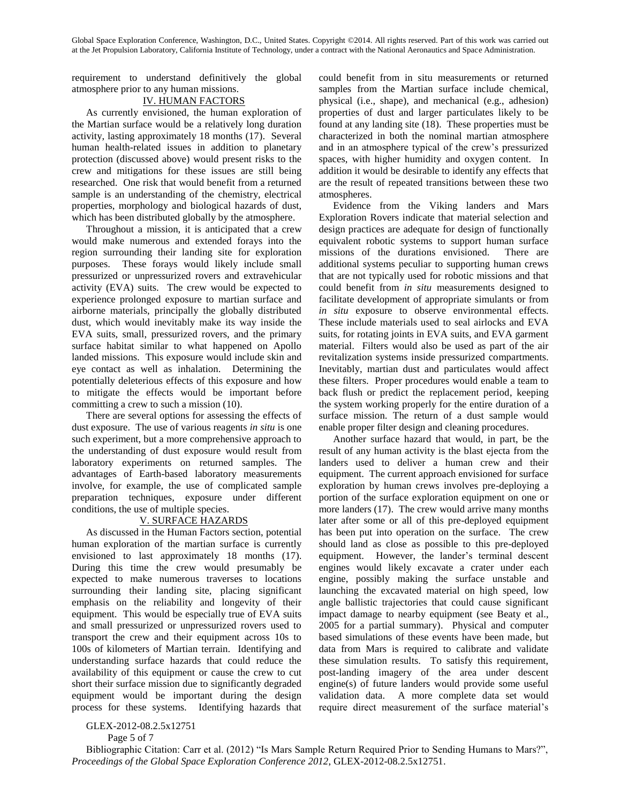requirement to understand definitively the global atmosphere prior to any human missions.

### IV. HUMAN FACTORS

As currently envisioned, the human exploration of the Martian surface would be a relatively long duration activity, lasting approximately 18 months (17). Several human health-related issues in addition to planetary protection (discussed above) would present risks to the crew and mitigations for these issues are still being researched. One risk that would benefit from a returned sample is an understanding of the chemistry, electrical properties, morphology and biological hazards of dust, which has been distributed globally by the atmosphere.

Throughout a mission, it is anticipated that a crew would make numerous and extended forays into the region surrounding their landing site for exploration purposes. These forays would likely include small pressurized or unpressurized rovers and extravehicular activity (EVA) suits. The crew would be expected to experience prolonged exposure to martian surface and airborne materials, principally the globally distributed dust, which would inevitably make its way inside the EVA suits, small, pressurized rovers, and the primary surface habitat similar to what happened on Apollo landed missions. This exposure would include skin and eye contact as well as inhalation. Determining the potentially deleterious effects of this exposure and how to mitigate the effects would be important before committing a crew to such a mission (10).

There are several options for assessing the effects of dust exposure. The use of various reagents *in situ* is one such experiment, but a more comprehensive approach to the understanding of dust exposure would result from laboratory experiments on returned samples. The advantages of Earth-based laboratory measurements involve, for example, the use of complicated sample preparation techniques, exposure under different conditions, the use of multiple species.

# V. SURFACE HAZARDS

As discussed in the Human Factors section, potential human exploration of the martian surface is currently envisioned to last approximately 18 months (17). During this time the crew would presumably be expected to make numerous traverses to locations surrounding their landing site, placing significant emphasis on the reliability and longevity of their equipment. This would be especially true of EVA suits and small pressurized or unpressurized rovers used to transport the crew and their equipment across 10s to 100s of kilometers of Martian terrain. Identifying and understanding surface hazards that could reduce the availability of this equipment or cause the crew to cut short their surface mission due to significantly degraded equipment would be important during the design process for these systems. Identifying hazards that

could benefit from in situ measurements or returned samples from the Martian surface include chemical, physical (i.e., shape), and mechanical (e.g., adhesion) properties of dust and larger particulates likely to be found at any landing site (18). These properties must be characterized in both the nominal martian atmosphere and in an atmosphere typical of the crew's pressurized spaces, with higher humidity and oxygen content. In addition it would be desirable to identify any effects that are the result of repeated transitions between these two atmospheres.

Evidence from the Viking landers and Mars Exploration Rovers indicate that material selection and design practices are adequate for design of functionally equivalent robotic systems to support human surface missions of the durations envisioned. There are additional systems peculiar to supporting human crews that are not typically used for robotic missions and that could benefit from *in situ* measurements designed to facilitate development of appropriate simulants or from *in situ* exposure to observe environmental effects. These include materials used to seal airlocks and EVA suits, for rotating joints in EVA suits, and EVA garment material. Filters would also be used as part of the air revitalization systems inside pressurized compartments. Inevitably, martian dust and particulates would affect these filters. Proper procedures would enable a team to back flush or predict the replacement period, keeping the system working properly for the entire duration of a surface mission. The return of a dust sample would enable proper filter design and cleaning procedures.

Another surface hazard that would, in part, be the result of any human activity is the blast ejecta from the landers used to deliver a human crew and their equipment. The current approach envisioned for surface exploration by human crews involves pre-deploying a portion of the surface exploration equipment on one or more landers (17). The crew would arrive many months later after some or all of this pre-deployed equipment has been put into operation on the surface. The crew should land as close as possible to this pre-deployed equipment. However, the lander's terminal descent engines would likely excavate a crater under each engine, possibly making the surface unstable and launching the excavated material on high speed, low angle ballistic trajectories that could cause significant impact damage to nearby equipment (see Beaty et al., 2005 for a partial summary). Physical and computer based simulations of these events have been made, but data from Mars is required to calibrate and validate these simulation results. To satisfy this requirement, post-landing imagery of the area under descent engine(s) of future landers would provide some useful validation data. A more complete data set would require direct measurement of the surface material's

Page 5 of 7

GLEX-2012-08.2.5x12751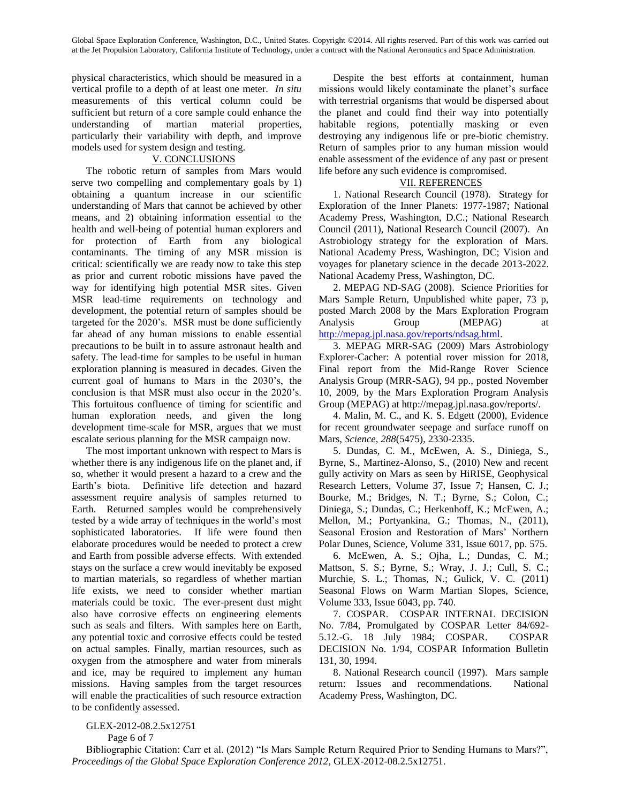physical characteristics, which should be measured in a vertical profile to a depth of at least one meter. *In situ* measurements of this vertical column could be sufficient but return of a core sample could enhance the understanding of martian material properties, particularly their variability with depth, and improve models used for system design and testing.

## V. CONCLUSIONS

The robotic return of samples from Mars would serve two compelling and complementary goals by 1) obtaining a quantum increase in our scientific understanding of Mars that cannot be achieved by other means, and 2) obtaining information essential to the health and well-being of potential human explorers and for protection of Earth from any biological contaminants. The timing of any MSR mission is critical: scientifically we are ready now to take this step as prior and current robotic missions have paved the way for identifying high potential MSR sites. Given MSR lead-time requirements on technology and development, the potential return of samples should be targeted for the 2020's. MSR must be done sufficiently far ahead of any human missions to enable essential precautions to be built in to assure astronaut health and safety. The lead-time for samples to be useful in human exploration planning is measured in decades. Given the current goal of humans to Mars in the 2030's, the conclusion is that MSR must also occur in the 2020's. This fortuitous confluence of timing for scientific and human exploration needs, and given the long development time-scale for MSR, argues that we must escalate serious planning for the MSR campaign now.

The most important unknown with respect to Mars is whether there is any indigenous life on the planet and, if so, whether it would present a hazard to a crew and the Earth's biota. Definitive life detection and hazard assessment require analysis of samples returned to Earth. Returned samples would be comprehensively tested by a wide array of techniques in the world's most sophisticated laboratories. If life were found then elaborate procedures would be needed to protect a crew and Earth from possible adverse effects. With extended stays on the surface a crew would inevitably be exposed to martian materials, so regardless of whether martian life exists, we need to consider whether martian materials could be toxic. The ever-present dust might also have corrosive effects on engineering elements such as seals and filters. With samples here on Earth, any potential toxic and corrosive effects could be tested on actual samples. Finally, martian resources, such as oxygen from the atmosphere and water from minerals and ice, may be required to implement any human missions. Having samples from the target resources will enable the practicalities of such resource extraction to be confidently assessed.

Despite the best efforts at containment, human missions would likely contaminate the planet's surface with terrestrial organisms that would be dispersed about the planet and could find their way into potentially habitable regions, potentially masking or even destroying any indigenous life or pre-biotic chemistry. Return of samples prior to any human mission would enable assessment of the evidence of any past or present life before any such evidence is compromised.

### VII. REFERENCES

1. National Research Council (1978). Strategy for Exploration of the Inner Planets: 1977-1987; National Academy Press, Washington, D.C.; National Research Council (2011), National Research Council (2007). An Astrobiology strategy for the exploration of Mars. National Academy Press, Washington, DC; Vision and voyages for planetary science in the decade 2013-2022. National Academy Press, Washington, DC.

2. MEPAG ND-SAG (2008). Science Priorities for Mars Sample Return, Unpublished white paper, 73 p, posted March 2008 by the Mars Exploration Program Analysis Group (MEPAG) at [http://mepag.jpl.nasa.gov/reports/ndsag.html.](http://mepag.jpl.nasa.gov/reports/ndsag.html)

3. MEPAG MRR-SAG (2009) Mars Astrobiology Explorer-Cacher: A potential rover mission for 2018, Final report from the Mid-Range Rover Science Analysis Group (MRR-SAG), 94 pp., posted November 10, 2009, by the Mars Exploration Program Analysis Group (MEPAG) at http://mepag.jpl.nasa.gov/reports/.

4. Malin, M. C., and K. S. Edgett (2000), Evidence for recent groundwater seepage and surface runoff on Mars, *Science*, *288*(5475), 2330-2335.

5. Dundas, C. M., McEwen, A. S., Diniega, S., Byrne, S., Martinez-Alonso, S., (2010) New and recent gully activity on Mars as seen by HiRISE, Geophysical Research Letters, Volume 37, Issue 7; Hansen, C. J.; Bourke, M.; Bridges, N. T.; Byrne, S.; Colon, C.; Diniega, S.; Dundas, C.; Herkenhoff, K.; McEwen, A.; Mellon, M.; Portyankina, G.; Thomas, N., (2011), Seasonal Erosion and Restoration of Mars' Northern Polar Dunes, Science, Volume 331, Issue 6017, pp. 575.

6. McEwen, A. S.; Ojha, L.; Dundas, C. M.; Mattson, S. S.; Byrne, S.; Wray, J. J.; Cull, S. C.; Murchie, S. L.; Thomas, N.; Gulick, V. C. (2011) Seasonal Flows on Warm Martian Slopes, Science, Volume 333, Issue 6043, pp. 740.

7. COSPAR. COSPAR INTERNAL DECISION No. 7/84, Promulgated by COSPAR Letter 84/692- 5.12.-G. 18 July 1984; COSPAR. COSPAR DECISION No. 1/94, COSPAR Information Bulletin 131, 30, 1994.

8. National Research council (1997). Mars sample return: Issues and recommendations. National Academy Press, Washington, DC.

Page 6 of 7

GLEX-2012-08.2.5x12751